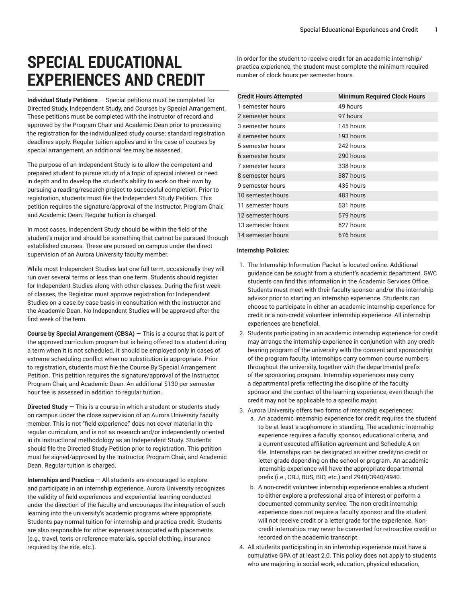## **SPECIAL EDUCATIONAL EXPERIENCES AND CREDIT**

**Individual Study Petitions** — Special petitions must be completed for Directed Study, Independent Study, and Courses by Special Arrangement. These petitions must be completed with the instructor of record and approved by the Program Chair and Academic Dean prior to processing the registration for the individualized study course; standard registration deadlines apply. Regular tuition applies and in the case of courses by special arrangement, an additional fee may be assessed.

The purpose of an Independent Study is to allow the competent and prepared student to pursue study of a topic of special interest or need in depth and to develop the student's ability to work on their own by pursuing a reading/research project to successful completion. Prior to registration, students must file the Independent Study Petition. This petition requires the signature/approval of the Instructor, Program Chair, and Academic Dean. Regular tuition is charged.

In most cases, Independent Study should be within the field of the student's major and should be something that cannot be pursued through established courses. These are pursued on campus under the direct supervision of an Aurora University faculty member.

While most Independent Studies last one full term, occasionally they will run over several terms or less than one term. Students should register for Independent Studies along with other classes. During the first week of classes, the Registrar must approve registration for Independent Studies on a case-by-case basis in consultation with the Instructor and the Academic Dean. No Independent Studies will be approved after the first week of the term.

**Course by Special Arrangement (CBSA)** — This is a course that is part of the approved curriculum program but is being offered to a student during a term when it is not scheduled. It should be employed only in cases of extreme scheduling conflict when no substitution is appropriate. Prior to registration, students must file the Course By Special Arrangement Petition. This petition requires the signature/approval of the Instructor, Program Chair, and Academic Dean. An additional \$130 per semester hour fee is assessed in addition to regular tuition.

**Directed Study** — This is a course in which a student or students study on campus under the close supervision of an Aurora University faculty member. This is not "field experience," does not cover material in the regular curriculum, and is not as research and/or independently oriented in its instructional methodology as an Independent Study. Students should file the Directed Study Petition prior to registration. This petition must be signed/approved by the Instructor, Program Chair, and Academic Dean. Regular tuition is charged.

**Internships and Practica** — All students are encouraged to explore and participate in an internship experience. Aurora University recognizes the validity of field experiences and experiential learning conducted under the direction of the faculty and encourages the integration of such learning into the university's academic programs where appropriate. Students pay normal tuition for internship and practica credit. Students are also responsible for other expenses associated with placements (e.g., travel, texts or reference materials, special clothing, insurance required by the site, etc.).

In order for the student to receive credit for an academic internship/ practica experience, the student must complete the minimum required number of clock hours per semester hours.

<span id="page-0-0"></span>

| <b>Credit Hours Attempted</b> | <b>Minimum Required Clock Hours</b> |
|-------------------------------|-------------------------------------|
| 1 semester hours              | 49 hours                            |
| 2 semester hours              | 97 hours                            |
| 3 semester hours              | 145 hours                           |
| 4 semester hours              | 193 hours                           |
| 5 semester hours              | 242 hours                           |
| 6 semester hours              | 290 hours                           |
| 7 semester hours              | 338 hours                           |
| 8 semester hours              | 387 hours                           |
| 9 semester hours              | 435 hours                           |
| 10 semester hours             | 483 hours                           |
| 11 semester hours             | 531 hours                           |
| 12 semester hours             | 579 hours                           |
| 13 semester hours             | 627 hours                           |
| 14 semester hours             | 676 hours                           |

## **Internship Policies:**

- 1. The Internship Information Packet is located online. Additional guidance can be sought from a student's academic department. GWC students can find this information in the Academic Services Office. Students must meet with their faculty sponsor and/or the internship advisor prior to starting an internship experience. Students can choose to participate in either an academic internship experience for credit or a non-credit volunteer internship experience. All internship experiences are beneficial.
- 2. Students participating in an academic internship experience for credit may arrange the internship experience in conjunction with any creditbearing program of the university with the consent and sponsorship of the program faculty. Internships carry common course numbers throughout the university, together with the departmental prefix of the sponsoring program. Internship experiences may carry a departmental prefix reflecting the discipline of the faculty sponsor and the contact of the learning experience, even though the credit may not be applicable to a specific major.
- 3. Aurora University offers two forms of internship experiences:
	- a. An academic internship experience for credit requires the student to be at least a sophomore in standing. The academic internship experience requires a faculty sponsor, educational criteria, and a current executed affiliation agreement and Schedule A on file. Internships can be designated as either credit/no credit or letter grade depending on the school or program. An academic internship experience will have the appropriate departmental prefix (i.e., CRJ, BUS, BIO, etc.) and 2940/3940/4940.
	- b. A non-credit volunteer internship experience enables a student to either explore a professional area of interest or perform a documented community service. The non-credit internship experience does not require a faculty sponsor and the student will not receive credit or a letter grade for the experience. Noncredit internships may never be converted for retroactive credit or recorded on the academic transcript.
- 4. All students participating in an internship experience must have a cumulative GPA of at least 2.0. This policy does not apply to students who are majoring in social work, education, physical education,